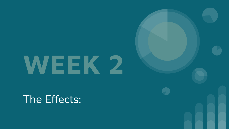# **WEEK 2**

The Effects: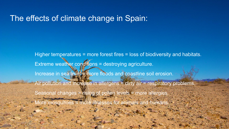### The effects of climate change in Spain:

Higher temperatures = more forest fires = loss of biodiversity and habitats. Extreme weather conditions = destroying agriculture. Increase in sea level = more floods and coastline soil erosion. Air pollution and increase in allergens = dirty air = respiratory problems. Seasonal changes = rising of pollen levels = more allergies. ore mosquitoes = more illnesses for animals and humans.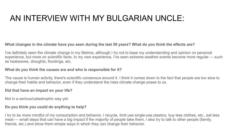## AN INTERVIEW WITH MY BULGARIAN UNCLE:

#### **What changes in the climate have you seen during the last 50 years? What do you think the effects are?**

I've definitely seen the climate change in my lifetime, although I try not to base my understanding and opinion on personal experience, but more on scientific facts. In my own experience, I've seen extreme weather events become more regular — such as heatwaves, droughts, floodings, etc.

#### **What do you think the causes are and who is responsible for it?**

The cause is human activity, there's scientific consensus around it. I think it comes down to the fact that people are too slow to change their habits and behavior, even if they understand the risks climate change poses to us.

#### **Did that have an impact on your life?**

Not in a serious/catastrophic way yet.

#### **Do you think you could do anything to help?**

I try to be more mindful of my consumption and behavior. I recycle, limit use single-use plastics, buy less clothes, etc., eat less meat — small steps that can have a big impact if the majority of people take them. I also try to talk to other people (family, friends, etc.) and show them simple ways in which they can change their behavior.